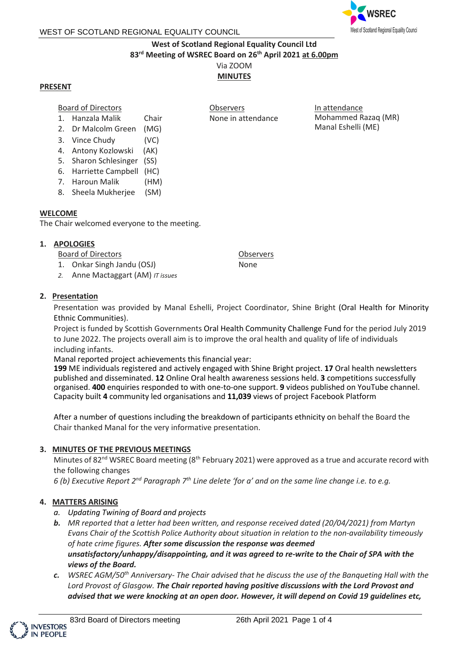

# **West of Scotland Regional Equality Council Ltd 83 rd Meeting of WSREC Board on 26th April 2021 at 6.00pm** Via ZOOM **MINUTES**

**Observers** 

None in attendance

## **PRESENT**

#### Board of Directors

- 1. Hanzala Malik Chair
- 2. Dr Malcolm Green (MG)
- 3. Vince Chudy (VC)
- 4. Antony Kozlowski (AK)
- 5. Sharon Schlesinger (SS)
- 6. Harriette Campbell (HC)
- 7. Haroun Malik (HM)
- 8. Sheela Mukherjee (SM)

#### **WELCOME**

The Chair welcomed everyone to the meeting.

## **1. APOLOGIES**

Board of Directors

- 1. Onkar Singh Jandu (OSJ)
- *2.* Anne Mactaggart (AM) *IT issues*

## **2. Presentation**

Presentation was provided by Manal Eshelli, Project Coordinator, Shine Bright (Oral Health for Minority Ethnic Communities).

Project is funded by Scottish Governments Oral Health Community Challenge Fund for the period July 2019 to June 2022. The projects overall aim is to improve the oral health and quality of life of individuals including infants.

Manal reported project achievements this financial year:

**199** ME individuals registered and actively engaged with Shine Bright project. **17** Oral health newsletters published and disseminated. **12** Online Oral health awareness sessions held. **3** competitions successfully organised. **400** enquiries responded to with one-to-one support. **9** videos published on YouTube channel. Capacity built **4** community led organisations and **11,039** views of project Facebook Platform

After a number of questions including the breakdown of participants ethnicity on behalf the Board the Chair thanked Manal for the very informative presentation.

# **3. MINUTES OF THE PREVIOUS MEETINGS**

Minutes of 82<sup>nd</sup> WSREC Board meeting (8<sup>th</sup> February 2021) were approved as a true and accurate record with the following changes

*6 (b) Executive Report 2nd Paragraph 7th Line delete 'for a' and on the same line change i.e. to e.g.*

# **4. MATTERS ARISING**

- *a. Updating Twining of Board and projects*
- *b. MR reported that a letter had been written, and response received dated (20/04/2021) from Martyn Evans Chair of the Scottish Police Authority about situation in relation to the non-availability timeously of hate crime figures. After some discussion the response was deemed unsatisfactory/unhappy/disappointing, and it was agreed to re-write to the Chair of SPA with the views of the Board.*
- *c. WSREC AGM/50th Anniversary- The Chair advised that he discuss the use of the Banqueting Hall with the Lord Provost of Glasgow. The Chair reported having positive discussions with the Lord Provost and advised that we were knocking at an open door. However, it will depend on Covid 19 guidelines etc,*



Observers None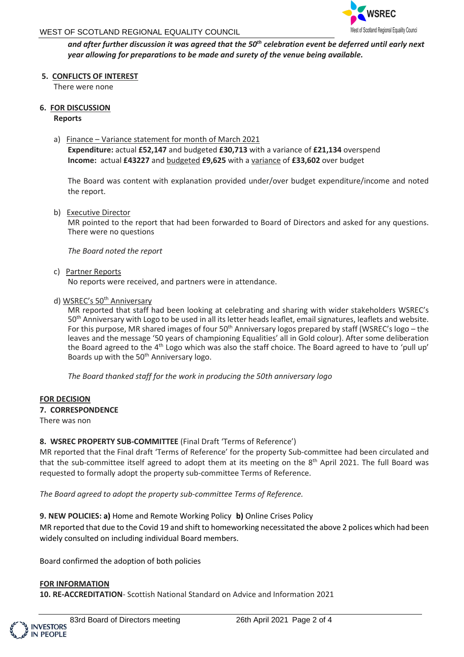

#### WEST OF SCOTLAND REGIONAL EQUALITY COUNCIL

*and after further discussion it was agreed that the 50th celebration event be deferred until early next year allowing for preparations to be made and surety of the venue being available.*

#### **5. CONFLICTS OF INTEREST**

There were none

# **6. FOR DISCUSSION**

#### **Reports**

a) Finance – Variance statement for month of March 2021 **Expenditure:** actual **£52,147** and budgeted **£30,713** with a variance of **£21,134** overspend **Income:** actual **£43227** and budgeted **£9,625** with a variance of **£33,602** over budget

The Board was content with explanation provided under/over budget expenditure/income and noted the report.

b) Executive Director

MR pointed to the report that had been forwarded to Board of Directors and asked for any questions. There were no questions

*The Board noted the report* 

#### c) Partner Reports

No reports were received, and partners were in attendance.

#### d) WSREC's 50<sup>th</sup> Anniversary

MR reported that staff had been looking at celebrating and sharing with wider stakeholders WSREC's 50th Anniversary with Logo to be used in all its letter heads leaflet, email signatures, leaflets and website. For this purpose, MR shared images of four 50<sup>th</sup> Anniversary logos prepared by staff (WSREC's logo – the leaves and the message '50 years of championing Equalities' all in Gold colour). After some deliberation the Board agreed to the 4<sup>th</sup> Logo which was also the staff choice. The Board agreed to have to 'pull up' Boards up with the  $50<sup>th</sup>$  Anniversary logo.

*The Board thanked staff for the work in producing the 50th anniversary logo*

#### **FOR DECISION**

#### **7. CORRESPONDENCE**

There was non

#### **8. WSREC PROPERTY SUB-COMMITTEE** (Final Draft 'Terms of Reference')

MR reported that the Final draft 'Terms of Reference' for the property Sub-committee had been circulated and that the sub-committee itself agreed to adopt them at its meeting on the 8<sup>th</sup> April 2021. The full Board was requested to formally adopt the property sub-committee Terms of Reference.

*The Board agreed to adopt the property sub-committee Terms of Reference.*

**9. NEW POLICIES: a)** Home and Remote Working Policy **b)** Online Crises Policy

MR reported that due to the Covid 19 and shift to homeworking necessitated the above 2 polices which had been widely consulted on including individual Board members.

Board confirmed the adoption of both policies

#### **FOR INFORMATION**

**10. RE-ACCREDITATION**- Scottish National Standard on Advice and Information 2021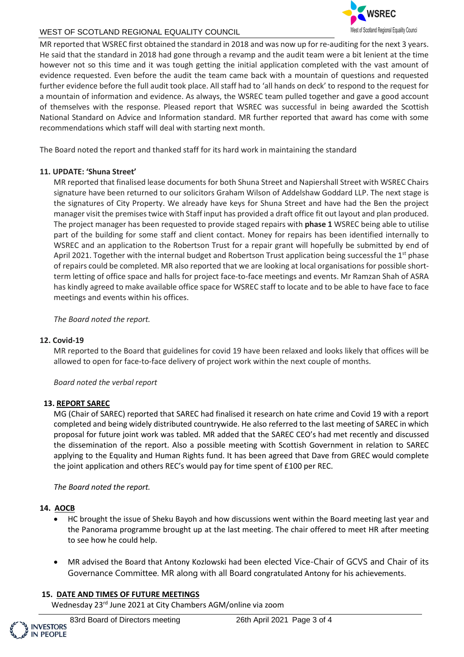

## WEST OF SCOTLAND REGIONAL EQUALITY COUNCIL

MR reported that WSREC first obtained the standard in 2018 and was now up for re-auditing for the next 3 years. He said that the standard in 2018 had gone through a revamp and the audit team were a bit lenient at the time however not so this time and it was tough getting the initial application completed with the vast amount of evidence requested. Even before the audit the team came back with a mountain of questions and requested further evidence before the full audit took place. All staff had to 'all hands on deck' to respond to the request for a mountain of information and evidence. As always, the WSREC team pulled together and gave a good account of themselves with the response. Pleased report that WSREC was successful in being awarded the Scottish National Standard on Advice and Information standard. MR further reported that award has come with some recommendations which staff will deal with starting next month.

The Board noted the report and thanked staff for its hard work in maintaining the standard

## **11. UPDATE: 'Shuna Street'**

MR reported that finalised lease documents for both Shuna Street and Napiershall Street with WSREC Chairs signature have been returned to our solicitors Graham Wilson of Addelshaw Goddard LLP. The next stage is the signatures of City Property. We already have keys for Shuna Street and have had the Ben the project manager visit the premises twice with Staff input has provided a draft office fit out layout and plan produced. The project manager has been requested to provide staged repairs with **phase 1** WSREC being able to utilise part of the building for some staff and client contact. Money for repairs has been identified internally to WSREC and an application to the Robertson Trust for a repair grant will hopefully be submitted by end of April 2021. Together with the internal budget and Robertson Trust application being successful the 1<sup>st</sup> phase of repairs could be completed. MR also reported that we are looking at local organisations for possible shortterm letting of office space and halls for project face-to-face meetings and events. Mr Ramzan Shah of ASRA has kindly agreed to make available office space for WSREC staff to locate and to be able to have face to face meetings and events within his offices.

*The Board noted the report.*

#### **12. Covid-19**

MR reported to the Board that guidelines for covid 19 have been relaxed and looks likely that offices will be allowed to open for face-to-face delivery of project work within the next couple of months.

*Board noted the verbal report*

#### **13. REPORT SAREC**

MG (Chair of SAREC) reported that SAREC had finalised it research on hate crime and Covid 19 with a report completed and being widely distributed countrywide. He also referred to the last meeting of SAREC in which proposal for future joint work was tabled. MR added that the SAREC CEO's had met recently and discussed the dissemination of the report. Also a possible meeting with Scottish Government in relation to SAREC applying to the Equality and Human Rights fund. It has been agreed that Dave from GREC would complete the joint application and others REC's would pay for time spent of £100 per REC.

*The Board noted the report.*

# **14. AOCB**

- HC brought the issue of Sheku Bayoh and how discussions went within the Board meeting last year and the Panorama programme brought up at the last meeting. The chair offered to meet HR after meeting to see how he could help.
- MR advised the Board that Antony Kozlowski had been elected Vice-Chair of GCVS and Chair of its Governance Committee. MR along with all Board congratulated Antony for his achievements.

#### **15. DATE AND TIMES OF FUTURE MEETINGS**

Wednesday 23rd June 2021 at City Chambers AGM/online via zoom